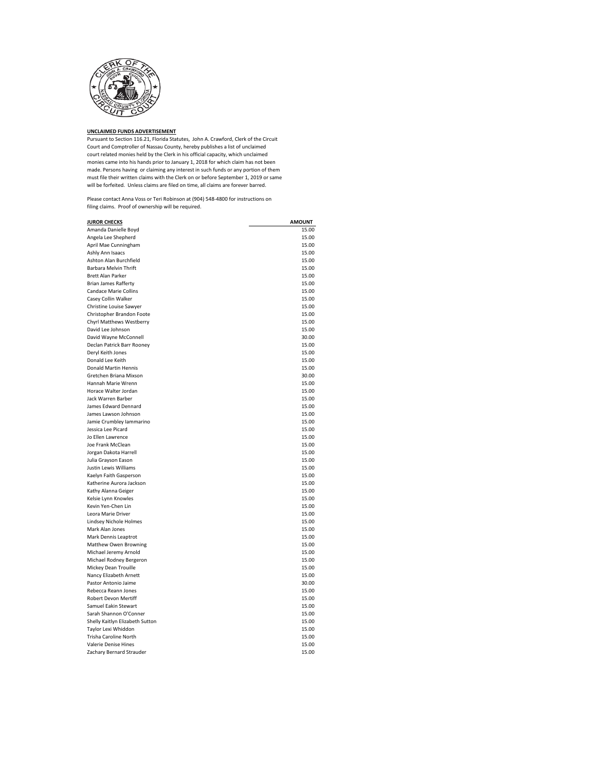

**UNCLAIMED FUNDS ADVERTISEMENT** Pursuant to Section 116.21, Florida Statutes, John A. Crawford, Clerk of the Circuit Court and Comptroller of Nassau County, hereby publishes a list of unclaimed court related monies held by the Clerk in his official capacity, which unclaimed monies came into his hands prior to January 1, 2018 for which claim has not been made. Persons having or claiming any interest in such funds or any portion of them must file their written claims with the Clerk on or before September 1, 2019 or same will be forfeited. Unless claims are filed on time, all claims are forever barred.

Please contact Anna Voss or Teri Robinson at (904) 548-4800 for instructions on filing claims. Proof of ownership will be required.

| <b>JUROR CHECKS</b>             | <b>AMOUNT</b> |
|---------------------------------|---------------|
| Amanda Danielle Boyd            | 15.00         |
| Angela Lee Shepherd             | 15.00         |
| April Mae Cunningham            | 15.00         |
| Ashly Ann Isaacs                | 15.00         |
| Ashton Alan Burchfield          | 15.00         |
| Barbara Melvin Thrift           | 15.00         |
| <b>Brett Alan Parker</b>        | 15.00         |
| <b>Brian James Rafferty</b>     | 15.00         |
| Candace Marie Collins           | 15.00         |
| Casey Collin Walker             | 15.00         |
| Christine Louise Sawyer         | 15.00         |
| Christopher Brandon Foote       | 15.00         |
| Chyrl Matthews Westberry        | 15.00         |
| David Lee Johnson               | 15.00         |
| David Wayne McConnell           | 30.00         |
| Declan Patrick Barr Rooney      | 15.00         |
| Deryl Keith Jones               | 15.00         |
| Donald Lee Keith                | 15.00         |
| Donald Martin Hennis            | 15.00         |
| Gretchen Briana Mixson          | 30.00         |
| Hannah Marie Wrenn              | 15.00         |
| Horace Walter Jordan            | 15.00         |
| Jack Warren Barber              | 15.00         |
| James Edward Dennard            | 15.00         |
| James Lawson Johnson            | 15.00         |
| Jamie Crumbley Iammarino        | 15.00         |
| Jessica Lee Picard              | 15.00         |
| Jo Ellen Lawrence               | 15.00         |
| Joe Frank McClean               | 15.00         |
| Jorgan Dakota Harrell           | 15.00         |
| Julia Grayson Eason             | 15.00         |
| Justin Lewis Williams           | 15.00         |
| Kaelyn Faith Gasperson          | 15.00         |
| Katherine Aurora Jackson        | 15.00         |
| Kathy Alanna Geiger             | 15.00         |
| Kelsie Lynn Knowles             | 15.00         |
| Kevin Yen-Chen Lin              | 15.00         |
| Leora Marie Driver              | 15.00         |
| Lindsey Nichole Holmes          | 15.00         |
| Mark Alan Jones                 | 15.00         |
| Mark Dennis Leaptrot            | 15.00         |
| Matthew Owen Browning           | 15.00         |
| Michael Jeremy Arnold           | 15.00         |
| Michael Rodney Bergeron         | 15.00         |
| Mickey Dean Trouille            | 15.00         |
| Nancy Elizabeth Arnett          | 15.00         |
| Pastor Antonio Jaime            | 30.00         |
| Rebecca Reann Jones             | 15.00         |
| Robert Devon Mertiff            | 15.00         |
| Samuel Eakin Stewart            | 15.00         |
| Sarah Shannon O'Conner          | 15.00         |
| Shelly Kaitlyn Elizabeth Sutton | 15.00         |
| Taylor Lexi Whiddon             | 15.00         |
| <b>Trisha Caroline North</b>    | 15.00         |
| Valerie Denise Hines            | 15.00         |
| Zachary Bernard Strauder        | 15.00         |